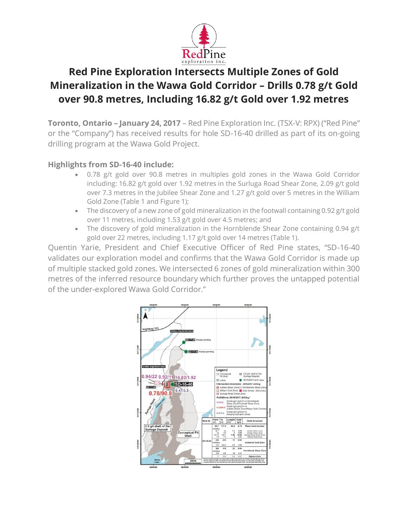

# **Red Pine Exploration Intersects Multiple Zones of Gold Mineralization in the Wawa Gold Corridor – Drills 0.78 g/t Gold over 90.8 metres, Including 16.82 g/t Gold over 1.92 metres**

**Toronto, Ontario – January 24, 2017** – Red Pine Exploration Inc. (TSX-V: RPX) ("Red Pine" or the "Company") has received results for hole SD-16-40 drilled as part of its on-going drilling program at the Wawa Gold Project.

#### **Highlights from SD-16-40 include:**

- 0.78 g/t gold over 90.8 metres in multiples gold zones in the Wawa Gold Corridor including: 16.82 g/t gold over 1.92 metres in the Surluga Road Shear Zone, 2.09 g/t gold over 7.3 metres in the Jubilee Shear Zone and 1.27  $g/t$  gold over 5 metres in the William Gold Zone (Table 1 and Figure 1);
- The discovery of a new zone of gold mineralization in the footwall containing 0.92 g/t gold over 11 metres, including 1.53 g/t gold over 4.5 metres; and
- The discovery of gold mineralization in the Hornblende Shear Zone containing 0.94 g/t gold over 22 metres, including 1.17 g/t gold over 14 metres (Table 1).

Quentin Yarie, President and Chief Executive Officer of Red Pine states, "SD-16-40 validates our exploration model and confirms that the Wawa Gold Corridor is made up of multiple stacked gold zones. We intersected 6 zones of gold mineralization within 300 metres of the inferred resource boundary which further proves the untapped potential of the under-explored Wawa Gold Corridor."

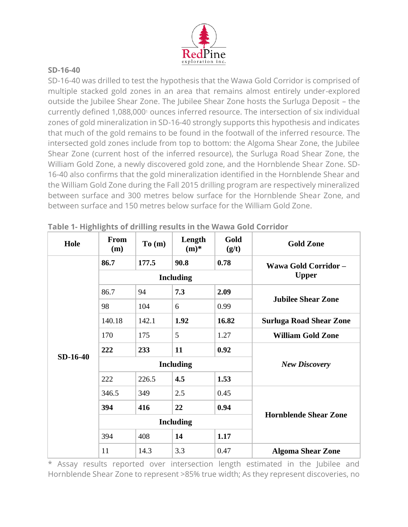

#### **SD-16-40**

SD-16-40 was drilled to test the hypothesis that the Wawa Gold Corridor is comprised of multiple stacked gold zones in an area that remains almost entirely under-explored outside the Jubilee Shear Zone. The Jubilee Shear Zone hosts the Surluga Deposit – the currently defined 1,088,000<sup>1</sup> ounces inferred resource. The intersection of six individual zones of gold mineralization in SD-16-40 strongly supports this hypothesis and indicates that much of the gold remains to be found in the footwall of the inferred resource. The intersected gold zones include from top to bottom: the Algoma Shear Zone, the Jubilee Shear Zone (current host of the inferred resource), the Surluga Road Shear Zone, the William Gold Zone, a newly discovered gold zone, and the Hornblende Shear Zone. SD-16-40 also confirms that the gold mineralization identified in the Hornblende Shear and the William Gold Zone during the Fall 2015 drilling program are respectively mineralized between surface and 300 metres below surface for the Hornblende Shear Zone, and between surface and 150 metres below surface for the William Gold Zone.

| Hole     | <b>From</b><br>(m) | To(m) | Length<br>$(m)$ * | Gold<br>(g/t) | <b>Gold Zone</b>               |
|----------|--------------------|-------|-------------------|---------------|--------------------------------|
| SD-16-40 | 86.7               | 177.5 | 90.8              | 0.78          | Wawa Gold Corridor-            |
|          | <b>Including</b>   |       |                   |               | <b>Upper</b>                   |
|          | 86.7               | 94    | 7.3               | 2.09          | <b>Jubilee Shear Zone</b>      |
|          | 98                 | 104   | 6                 | 0.99          |                                |
|          | 140.18             | 142.1 | 1.92              | 16.82         | <b>Surluga Road Shear Zone</b> |
|          | 170                | 175   | 5                 | 1.27          | <b>William Gold Zone</b>       |
|          | 222                | 233   | 11                | 0.92          |                                |
|          | <b>Including</b>   |       |                   |               | <b>New Discovery</b>           |
|          | 222                | 226.5 | 4.5               | 1.53          |                                |
|          | 346.5              | 349   | 2.5               | 0.45          | <b>Hornblende Shear Zone</b>   |
|          | 394                | 416   | 22                | 0.94          |                                |
|          | <b>Including</b>   |       |                   |               |                                |
|          | 394                | 408   | 14                | 1.17          |                                |
|          | 11                 | 14.3  | 3.3               | 0.47          | <b>Algoma Shear Zone</b>       |

**Table 1- Highlights of drilling results in the Wawa Gold Corridor**

\* Assay results reported over intersection length estimated in the Jubilee and Hornblende Shear Zone to represent >85% true width; As they represent discoveries, no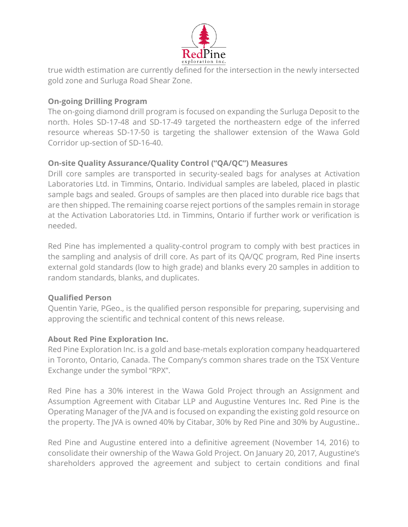

true width estimation are currently defined for the intersection in the newly intersected gold zone and Surluga Road Shear Zone.

### **On-going Drilling Program**

The on-going diamond drill program is focused on expanding the Surluga Deposit to the north. Holes SD-17-48 and SD-17-49 targeted the northeastern edge of the inferred resource whereas SD-17-50 is targeting the shallower extension of the Wawa Gold Corridor up-section of SD-16-40.

# **On-site Quality Assurance/Quality Control ("QA/QC") Measures**

Drill core samples are transported in security-sealed bags for analyses at Activation Laboratories Ltd. in Timmins, Ontario. Individual samples are labeled, placed in plastic sample bags and sealed. Groups of samples are then placed into durable rice bags that are then shipped. The remaining coarse reject portions of the samples remain in storage at the Activation Laboratories Ltd. in Timmins, Ontario if further work or verification is needed.

Red Pine has implemented a quality-control program to comply with best practices in the sampling and analysis of drill core. As part of its QA/QC program, Red Pine inserts external gold standards (low to high grade) and blanks every 20 samples in addition to random standards, blanks, and duplicates.

# **Qualified Person**

Quentin Yarie, PGeo., is the qualified person responsible for preparing, supervising and approving the scientific and technical content of this news release.

# **About Red Pine Exploration Inc.**

Red Pine Exploration Inc. is a gold and base-metals exploration company headquartered in Toronto, Ontario, Canada. The Company's common shares trade on the TSX Venture Exchange under the symbol "RPX".

Red Pine has a 30% interest in the Wawa Gold Project through an Assignment and Assumption Agreement with Citabar LLP and Augustine Ventures Inc. Red Pine is the Operating Manager of the JVA and is focused on expanding the existing gold resource on the property. The JVA is owned 40% by Citabar, 30% by Red Pine and 30% by Augustine..

Red Pine and Augustine entered into a definitive agreement (November 14, 2016) to consolidate their ownership of the Wawa Gold Project. On January 20, 2017, Augustine's shareholders approved the agreement and subject to certain conditions and final